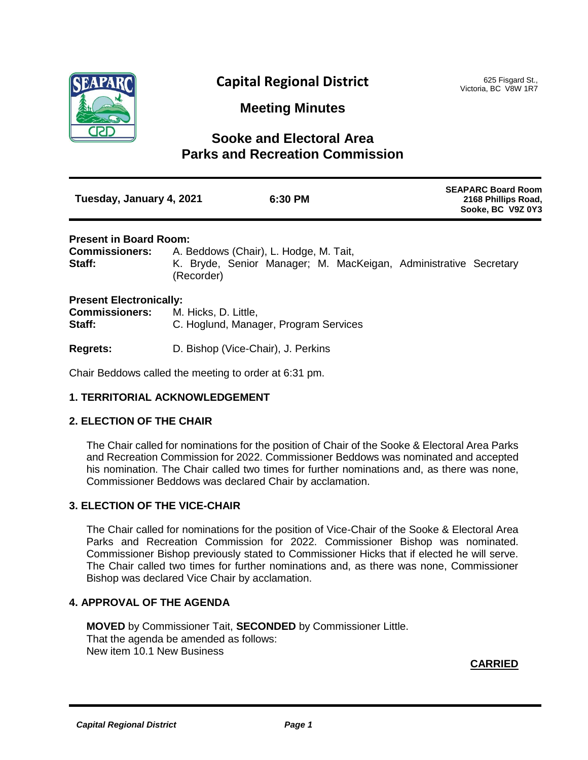

# **Capital Regional District**

625 Fisgard St., Victoria, BC V8W 1R7

**Meeting Minutes**

## **Sooke and Electoral Area Parks and Recreation Commission**

| Tuesday, January 4, 2021 | 6:30 PM | <b>SEAPARC Board Room</b><br>2168 Phillips Road,<br>Sooke, BC V9Z 0Y3 |
|--------------------------|---------|-----------------------------------------------------------------------|
|                          |         |                                                                       |

## **Present in Board Room:**

**Commissioners:** A. Beddows (Chair), L. Hodge, M. Tait, Staff: K. Bryde, Senior Manager; M. MacKeigan, Administrative Secretary (Recorder)

## **Present Electronically:**

| <b>Commissioners:</b> | M. Hicks, D. Little,                  |  |
|-----------------------|---------------------------------------|--|
| Staff:                | C. Hoglund, Manager, Program Services |  |

**Regrets:** D. Bishop (Vice-Chair), J. Perkins

Chair Beddows called the meeting to order at 6:31 pm.

## **1. TERRITORIAL ACKNOWLEDGEMENT**

## **2. ELECTION OF THE CHAIR**

The Chair called for nominations for the position of Chair of the Sooke & Electoral Area Parks and Recreation Commission for 2022. Commissioner Beddows was nominated and accepted his nomination. The Chair called two times for further nominations and, as there was none, Commissioner Beddows was declared Chair by acclamation.

## **3. ELECTION OF THE VICE-CHAIR**

The Chair called for nominations for the position of Vice-Chair of the Sooke & Electoral Area Parks and Recreation Commission for 2022. Commissioner Bishop was nominated. Commissioner Bishop previously stated to Commissioner Hicks that if elected he will serve. The Chair called two times for further nominations and, as there was none, Commissioner Bishop was declared Vice Chair by acclamation.

## **4. APPROVAL OF THE AGENDA**

**MOVED** by Commissioner Tait, **SECONDED** by Commissioner Little. That the agenda be amended as follows: New item 10.1 New Business

**CARRIED**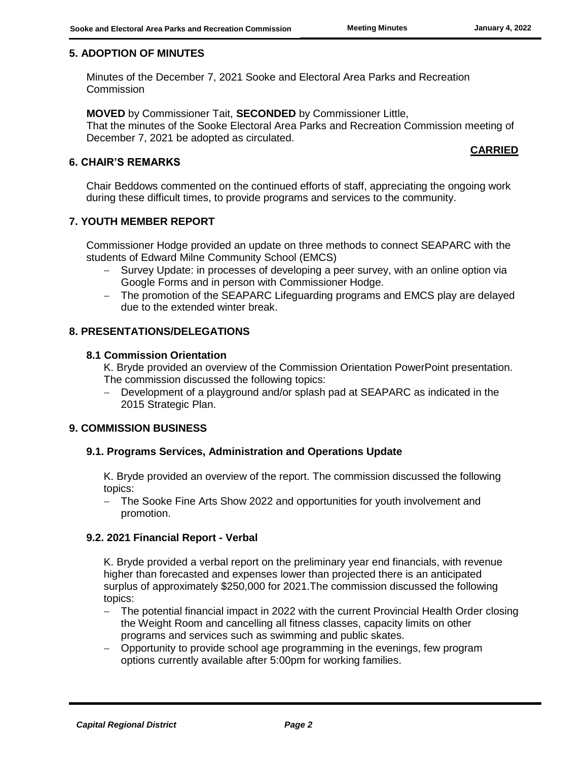## **5. ADOPTION OF MINUTES**

Minutes of the December 7, 2021 Sooke and Electoral Area Parks and Recreation **Commission** 

**MOVED** by Commissioner Tait, **SECONDED** by Commissioner Little, That the minutes of the Sooke Electoral Area Parks and Recreation Commission meeting of December 7, 2021 be adopted as circulated.

## **CARRIED**

## **6. CHAIR'S REMARKS**

Chair Beddows commented on the continued efforts of staff, appreciating the ongoing work during these difficult times, to provide programs and services to the community.

## **7. YOUTH MEMBER REPORT**

Commissioner Hodge provided an update on three methods to connect SEAPARC with the students of Edward Milne Community School (EMCS)

- Survey Update: in processes of developing a peer survey, with an online option via Google Forms and in person with Commissioner Hodge.
- The promotion of the SEAPARC Lifeguarding programs and EMCS play are delayed due to the extended winter break.

## **8. PRESENTATIONS/DELEGATIONS**

## **8.1 Commission Orientation**

K. Bryde provided an overview of the Commission Orientation PowerPoint presentation. The commission discussed the following topics:

 Development of a playground and/or splash pad at SEAPARC as indicated in the 2015 Strategic Plan.

## **9. COMMISSION BUSINESS**

## **9.1. Programs Services, Administration and Operations Update**

K. Bryde provided an overview of the report. The commission discussed the following topics:

 The Sooke Fine Arts Show 2022 and opportunities for youth involvement and promotion.

## **9.2. 2021 Financial Report - Verbal**

K. Bryde provided a verbal report on the preliminary year end financials, with revenue higher than forecasted and expenses lower than projected there is an anticipated surplus of approximately \$250,000 for 2021.The commission discussed the following topics:

- The potential financial impact in 2022 with the current Provincial Health Order closing the Weight Room and cancelling all fitness classes, capacity limits on other programs and services such as swimming and public skates.
- Opportunity to provide school age programming in the evenings, few program options currently available after 5:00pm for working families.